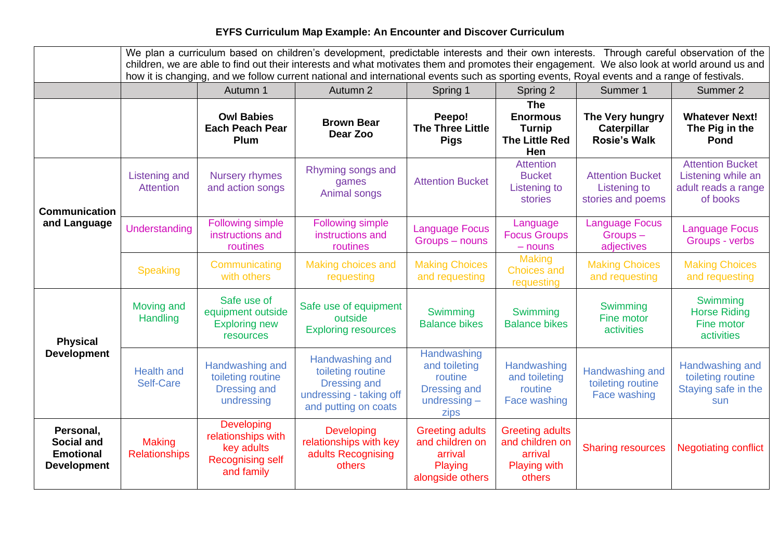## **EYFS Curriculum Map Example: An Encounter and Discover Curriculum**

|                                                                          | We plan a curriculum based on children's development, predictable interests and their own interests. Through careful observation of the<br>children, we are able to find out their interests and what motivates them and promotes their engagement. We also look at world around us and<br>how it is changing, and we follow current national and international events such as sporting events, Royal events and a range of festivals. |                                                                                         |                                                                                                                |                                                                                          |                                                                                       |                                                                     |                                                                                  |
|--------------------------------------------------------------------------|----------------------------------------------------------------------------------------------------------------------------------------------------------------------------------------------------------------------------------------------------------------------------------------------------------------------------------------------------------------------------------------------------------------------------------------|-----------------------------------------------------------------------------------------|----------------------------------------------------------------------------------------------------------------|------------------------------------------------------------------------------------------|---------------------------------------------------------------------------------------|---------------------------------------------------------------------|----------------------------------------------------------------------------------|
|                                                                          |                                                                                                                                                                                                                                                                                                                                                                                                                                        | Autumn 1                                                                                | Autumn 2                                                                                                       | Spring 1                                                                                 | Spring 2                                                                              | Summer 1                                                            | Summer 2                                                                         |
|                                                                          |                                                                                                                                                                                                                                                                                                                                                                                                                                        | <b>Owl Babies</b><br><b>Each Peach Pear</b><br>Plum                                     | <b>Brown Bear</b><br>Dear Zoo                                                                                  | Peepo!<br><b>The Three Little</b><br><b>Pigs</b>                                         | <b>The</b><br><b>Enormous</b><br><b>Turnip</b><br><b>The Little Red</b><br>Hen        | The Very hungry<br>Caterpillar<br><b>Rosie's Walk</b>               | <b>Whatever Next!</b><br>The Pig in the<br><b>Pond</b>                           |
| <b>Communication</b><br>and Language                                     | Listening and<br><b>Attention</b>                                                                                                                                                                                                                                                                                                                                                                                                      | <b>Nursery rhymes</b><br>and action songs                                               | Rhyming songs and<br>games<br>Animal songs                                                                     | <b>Attention Bucket</b>                                                                  | <b>Attention</b><br><b>Bucket</b><br><b>Listening to</b><br>stories                   | <b>Attention Bucket</b><br><b>Listening to</b><br>stories and poems | <b>Attention Bucket</b><br>Listening while an<br>adult reads a range<br>of books |
|                                                                          | Understanding                                                                                                                                                                                                                                                                                                                                                                                                                          | <b>Following simple</b><br>instructions and<br>routines                                 | <b>Following simple</b><br>instructions and<br>routines                                                        | <b>Language Focus</b><br>Groups - nouns                                                  | Language<br><b>Focus Groups</b><br>$-$ nouns                                          | <b>Language Focus</b><br>Groups-<br>adjectives                      | <b>Language Focus</b><br>Groups - verbs                                          |
|                                                                          | Speaking                                                                                                                                                                                                                                                                                                                                                                                                                               | Communicating<br>with others                                                            | Making choices and<br>requesting                                                                               | <b>Making Choices</b><br>and requesting                                                  | <b>Making</b><br><b>Choices and</b><br>requesting                                     | <b>Making Choices</b><br>and requesting                             | <b>Making Choices</b><br>and requesting                                          |
| <b>Physical</b><br><b>Development</b>                                    | Moving and<br>Handling                                                                                                                                                                                                                                                                                                                                                                                                                 | Safe use of<br>equipment outside<br><b>Exploring new</b><br>resources                   | Safe use of equipment<br>outside<br><b>Exploring resources</b>                                                 | Swimming<br><b>Balance bikes</b>                                                         | Swimming<br><b>Balance bikes</b>                                                      | Swimming<br>Fine motor<br>activities                                | Swimming<br><b>Horse Riding</b><br>Fine motor<br>activities                      |
|                                                                          | <b>Health and</b><br><b>Self-Care</b>                                                                                                                                                                                                                                                                                                                                                                                                  | Handwashing and<br>toileting routine<br><b>Dressing and</b><br>undressing               | Handwashing and<br>toileting routine<br><b>Dressing and</b><br>undressing - taking off<br>and putting on coats | Handwashing<br>and toileting<br>routine<br><b>Dressing and</b><br>undressing $-$<br>zips | Handwashing<br>and toileting<br>routine<br>Face washing                               | Handwashing and<br>toileting routine<br>Face washing                | Handwashing and<br>toileting routine<br>Staying safe in the<br>sun               |
| Personal,<br><b>Social and</b><br><b>Emotional</b><br><b>Development</b> | <b>Making</b><br><b>Relationships</b>                                                                                                                                                                                                                                                                                                                                                                                                  | Developing<br>relationships with<br>key adults<br><b>Recognising self</b><br>and family | Developing<br>relationships with key<br>adults Recognising<br>others                                           | <b>Greeting adults</b><br>and children on<br>arrival<br>Playing<br>alongside others      | <b>Greeting adults</b><br>and children on<br>arrival<br><b>Playing with</b><br>others | <b>Sharing resources</b>                                            | <b>Negotiating conflict</b>                                                      |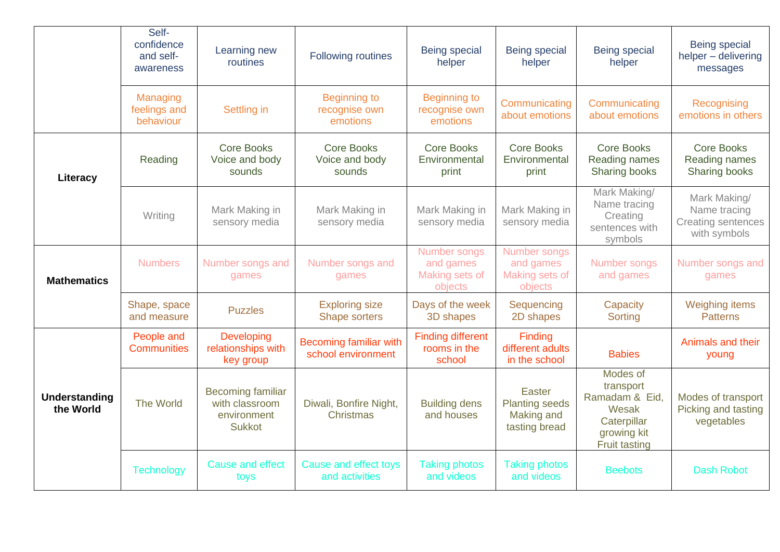|                            | Self-<br>confidence<br>and self-<br>awareness | Learning new<br>routines                                                   | Following routines                                  | Being special<br>helper                                | <b>Being special</b><br>helper                                 | Being special<br>helper                                                                                | <b>Being special</b><br>helper - delivering<br>messages                   |
|----------------------------|-----------------------------------------------|----------------------------------------------------------------------------|-----------------------------------------------------|--------------------------------------------------------|----------------------------------------------------------------|--------------------------------------------------------------------------------------------------------|---------------------------------------------------------------------------|
|                            | Managing<br>feelings and<br>behaviour         | <b>Settling in</b>                                                         | <b>Beginning to</b><br>recognise own<br>emotions    | <b>Beginning to</b><br>recognise own<br>emotions       | Communicating<br>about emotions                                | Communicating<br>about emotions                                                                        | Recognising<br>emotions in others                                         |
| Literacy                   | Reading                                       | <b>Core Books</b><br>Voice and body<br>sounds                              | <b>Core Books</b><br>Voice and body<br>sounds       | <b>Core Books</b><br>Environmental<br>print            | <b>Core Books</b><br>Environmental<br>print                    | <b>Core Books</b><br>Reading names<br>Sharing books                                                    | <b>Core Books</b><br>Reading names<br>Sharing books                       |
|                            | Writing                                       | Mark Making in<br>sensory media                                            | Mark Making in<br>sensory media                     | Mark Making in<br>sensory media                        | Mark Making in<br>sensory media                                | Mark Making/<br>Name tracing<br>Creating<br>sentences with<br>symbols                                  | Mark Making/<br>Name tracing<br><b>Creating sentences</b><br>with symbols |
| <b>Mathematics</b>         | <b>Numbers</b>                                | Number songs and<br>games                                                  | Number songs and<br>games                           | Number songs<br>and games<br>Making sets of<br>objects | Number songs<br>and games<br>Making sets of<br>objects         | Number songs<br>and games                                                                              | Number songs and<br>games                                                 |
|                            | Shape, space<br>and measure                   | <b>Puzzles</b>                                                             | <b>Exploring size</b><br>Shape sorters              | Days of the week<br>3D shapes                          | Sequencing<br>2D shapes                                        | Capacity<br>Sorting                                                                                    | <b>Weighing items</b><br><b>Patterns</b>                                  |
| Understanding<br>the World | People and<br><b>Communities</b>              | Developing<br>relationships with<br>key group                              | <b>Becoming familiar with</b><br>school environment | <b>Finding different</b><br>rooms in the<br>school     | Finding<br>different adults<br>in the school                   | <b>Babies</b>                                                                                          | Animals and their<br>young                                                |
|                            | The World                                     | <b>Becoming familiar</b><br>with classroom<br>environment<br><b>Sukkot</b> | Diwali, Bonfire Night,<br>Christmas                 | <b>Building dens</b><br>and houses                     | Easter<br><b>Planting seeds</b><br>Making and<br>tasting bread | Modes of<br>transport<br>Ramadam & Eid,<br>Wesak<br>Caterpillar<br>growing kit<br><b>Fruit tasting</b> | Modes of transport<br>Picking and tasting<br>vegetables                   |
|                            | <b>Technology</b>                             | <b>Cause and effect</b><br>toys                                            | Cause and effect toys<br>and activities             | <b>Taking photos</b><br>and videos                     | <b>Taking photos</b><br>and videos                             | <b>Beebots</b>                                                                                         | <b>Dash Robot</b>                                                         |